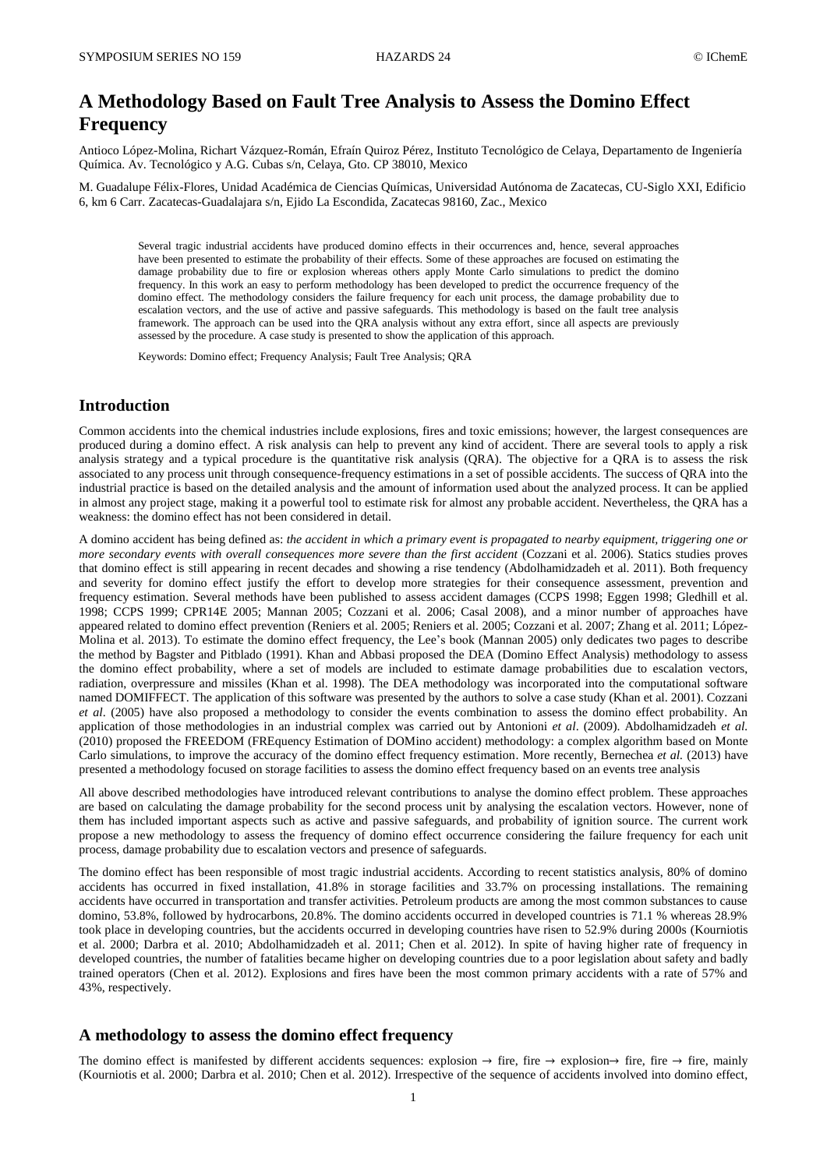# **A Methodology Based on Fault Tree Analysis to Assess the Domino Effect Frequency**

Antioco López-Molina, Richart Vázquez-Román, Efraín Quiroz Pérez, Instituto Tecnológico de Celaya, Departamento de Ingeniería Química. Av. Tecnológico y A.G. Cubas s/n, Celaya, Gto. CP 38010, Mexico

M. Guadalupe Félix-Flores, Unidad Académica de Ciencias Químicas, Universidad Autónoma de Zacatecas, CU-Siglo XXI, Edificio 6, km 6 Carr. Zacatecas-Guadalajara s/n, Ejido La Escondida, Zacatecas 98160, Zac., Mexico

Several tragic industrial accidents have produced domino effects in their occurrences and, hence, several approaches have been presented to estimate the probability of their effects. Some of these approaches are focused on estimating the damage probability due to fire or explosion whereas others apply Monte Carlo simulations to predict the domino frequency. In this work an easy to perform methodology has been developed to predict the occurrence frequency of the domino effect. The methodology considers the failure frequency for each unit process, the damage probability due to escalation vectors, and the use of active and passive safeguards. This methodology is based on the fault tree analysis framework. The approach can be used into the QRA analysis without any extra effort, since all aspects are previously assessed by the procedure. A case study is presented to show the application of this approach.

Keywords: Domino effect; Frequency Analysis; Fault Tree Analysis; QRA

# **Introduction**

Common accidents into the chemical industries include explosions, fires and toxic emissions; however, the largest consequences are produced during a domino effect. A risk analysis can help to prevent any kind of accident. There are several tools to apply a risk analysis strategy and a typical procedure is the quantitative risk analysis (QRA). The objective for a QRA is to assess the risk associated to any process unit through consequence-frequency estimations in a set of possible accidents. The success of QRA into the industrial practice is based on the detailed analysis and the amount of information used about the analyzed process. It can be applied in almost any project stage, making it a powerful tool to estimate risk for almost any probable accident. Nevertheless, the QRA has a weakness: the domino effect has not been considered in detail.

A domino accident has being defined as: *the accident in which a primary event is propagated to nearby equipment, triggering one or more secondary events with overall consequences more severe than the first accident* [\(Cozzani et al. 2006\)](#page-7-0). Statics studies proves that domino effect is still appearing in recent decades and showing a rise tendency [\(Abdolhamidzadeh et al. 2011\)](#page-7-1). Both frequency and severity for domino effect justify the effort to develop more strategies for their consequence assessment, prevention and frequency estimation. Several methods have been published to assess accident damages [\(CCPS 1998;](#page-7-2) [Eggen 1998;](#page-8-0) [Gledhill et al.](#page-8-1)  [1998;](#page-8-1) [CCPS 1999;](#page-7-3) [CPR14E 2005;](#page-8-2) [Mannan 2005;](#page-8-3) [Cozzani et al. 2006;](#page-7-0) [Casal 2008\)](#page-7-4), and a minor number of approaches have appeared related to domino effect prevention [\(Reniers et al. 2005;](#page-8-4) [Reniers et al. 2005;](#page-8-5) [Cozzani et al. 2007;](#page-8-6) [Zhang et al. 2011;](#page-8-7) [López-](#page-8-8)[Molina et al. 2013\)](#page-8-8). To estimate the domino effect frequency, the Lee's book [\(Mannan 2005\)](#page-8-3) only dedicates two pages to describe the method by Bagster and Pitblado [\(1991\)](#page-7-5). Khan and Abbasi proposed the DEA (Domino Effect Analysis) methodology to assess the domino effect probability, where a set of models are included to estimate damage probabilities due to escalation vectors, radiation, overpressure and missiles [\(Khan et al. 1998\)](#page-8-9). The DEA methodology was incorporated into the computational software named DOMIFFECT. The application of this software was presented by the authors to solve a case study [\(Khan et al. 2001\)](#page-8-10). Cozzani *et al*. [\(2005\)](#page-7-6) have also proposed a methodology to consider the events combination to assess the domino effect probability. An application of those methodologies in an industrial complex was carried out by Antonioni *et al*. [\(2009\)](#page-7-7). Abdolhamidzadeh *et al.* [\(2010\)](#page-7-8) proposed the FREEDOM (FREquency Estimation of DOMino accident) methodology: a complex algorithm based on Monte Carlo simulations, to improve the accuracy of the domino effect frequency estimation. More recently, Bernechea *et al.* [\(2013\)](#page-7-9) have presented a methodology focused on storage facilities to assess the domino effect frequency based on an events tree analysis

All above described methodologies have introduced relevant contributions to analyse the domino effect problem. These approaches are based on calculating the damage probability for the second process unit by analysing the escalation vectors. However, none of them has included important aspects such as active and passive safeguards, and probability of ignition source. The current work propose a new methodology to assess the frequency of domino effect occurrence considering the failure frequency for each unit process, damage probability due to escalation vectors and presence of safeguards.

The domino effect has been responsible of most tragic industrial accidents. According to recent statistics analysis, 80% of domino accidents has occurred in fixed installation, 41.8% in storage facilities and 33.7% on processing installations. The remaining accidents have occurred in transportation and transfer activities. Petroleum products are among the most common substances to cause domino, 53.8%, followed by hydrocarbons, 20.8%. The domino accidents occurred in developed countries is 71.1 % whereas 28.9% took place in developing countries, but the accidents occurred in developing countries have risen to 52.9% during 2000s [\(Kourniotis](#page-8-11)  [et al. 2000;](#page-8-11) [Darbra et al. 2010;](#page-8-12) [Abdolhamidzadeh et al. 2011;](#page-7-1) [Chen et al. 2012\)](#page-7-10). In spite of having higher rate of frequency in developed countries, the number of fatalities became higher on developing countries due to a poor legislation about safety and badly trained operators [\(Chen et al. 2012\)](#page-7-10). Explosions and fires have been the most common primary accidents with a rate of 57% and 43%, respectively.

### **A methodology to assess the domino effect frequency**

The domino effect is manifested by different accidents sequences: explosion  $\rightarrow$  fire, fire  $\rightarrow$  explosion $\rightarrow$  fire, fire  $\rightarrow$  fire, mainly [\(Kourniotis et al. 2000;](#page-8-11) [Darbra et al. 2010;](#page-8-12) [Chen et al. 2012\)](#page-7-10). Irrespective of the sequence of accidents involved into domino effect,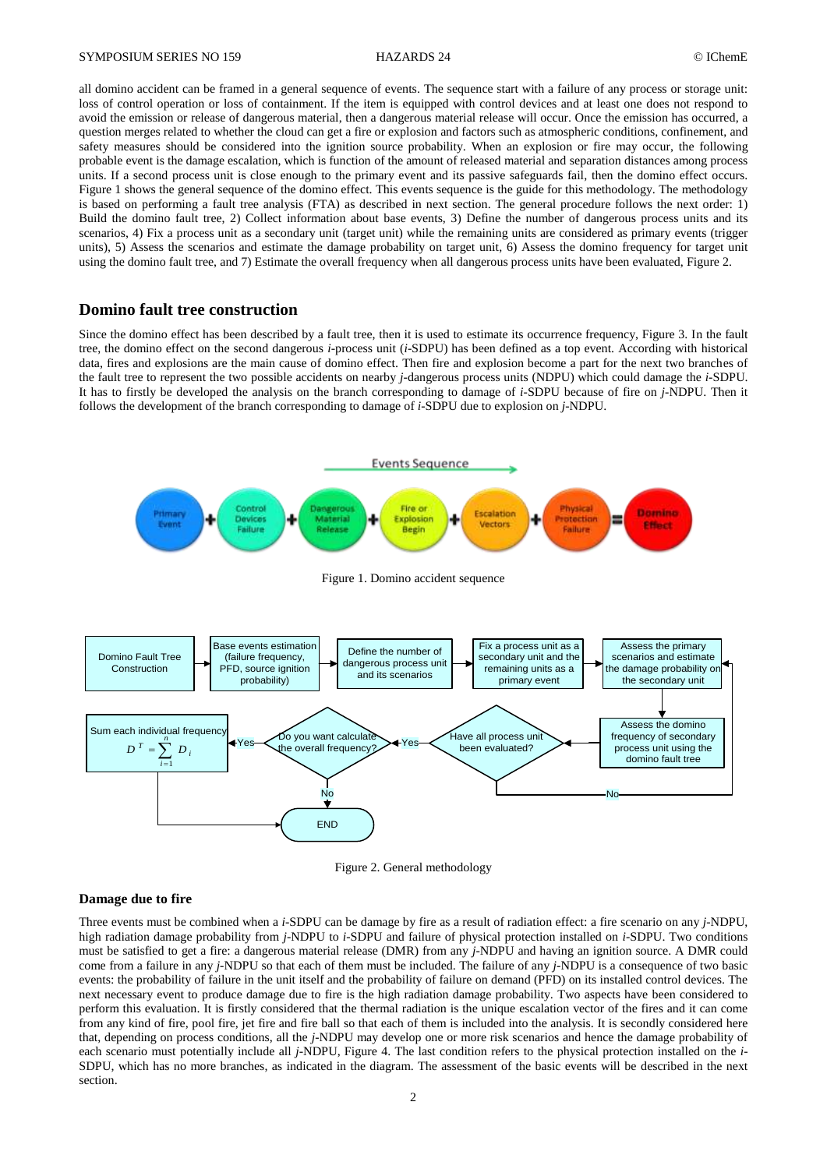all domino accident can be framed in a general sequence of events. The sequence start with a failure of any process or storage unit: loss of control operation or loss of containment. If the item is equipped with control devices and at least one does not respond to avoid the emission or release of dangerous material, then a dangerous material release will occur. Once the emission has occurred, a question merges related to whether the cloud can get a fire or explosion and factors such as atmospheric conditions, confinement, and safety measures should be considered into the ignition source probability. When an explosion or fire may occur, the following probable event is the damage escalation, which is function of the amount of released material and separation distances among process units. If a second process unit is close enough to the primary event and its passive safeguards fail, then the domino effect occurs. Figure 1 shows the general sequence of the domino effect. This events sequence is the guide for this methodology. The methodology is based on performing a fault tree analysis (FTA) as described in next section. The general procedure follows the next order: 1) Build the domino fault tree, 2) Collect information about base events, 3) Define the number of dangerous process units and its scenarios, 4) Fix a process unit as a secondary unit (target unit) while the remaining units are considered as primary events (trigger units), 5) Assess the scenarios and estimate the damage probability on target unit, 6) Assess the domino frequency for target unit using the domino fault tree, and 7) Estimate the overall frequency when all dangerous process units have been evaluated, Figure 2.

### **Domino fault tree construction**

Since the domino effect has been described by a fault tree, then it is used to estimate its occurrence frequency, Figure 3. In the fault tree, the domino effect on the second dangerous *i*-process unit (*i*-SDPU) has been defined as a top event. According with historical data, fires and explosions are the main cause of domino effect. Then fire and explosion become a part for the next two branches of the fault tree to represent the two possible accidents on nearby *j*-dangerous process units (NDPU) which could damage the *i*-SDPU. It has to firstly be developed the analysis on the branch corresponding to damage of *i*-SDPU because of fire on *j*-NDPU. Then it follows the development of the branch corresponding to damage of *i*-SDPU due to explosion on *j*-NDPU.



Figure 2. General methodology

#### **Damage due to fire**

Three events must be combined when a *i*-SDPU can be damage by fire as a result of radiation effect: a fire scenario on any *j*-NDPU, high radiation damage probability from *j*-NDPU to *i*-SDPU and failure of physical protection installed on *i*-SDPU. Two conditions must be satisfied to get a fire: a dangerous material release (DMR) from any *j*-NDPU and having an ignition source. A DMR could come from a failure in any *j*-NDPU so that each of them must be included. The failure of any *j*-NDPU is a consequence of two basic events: the probability of failure in the unit itself and the probability of failure on demand (PFD) on its installed control devices. The next necessary event to produce damage due to fire is the high radiation damage probability. Two aspects have been considered to perform this evaluation. It is firstly considered that the thermal radiation is the unique escalation vector of the fires and it can come from any kind of fire, pool fire, jet fire and fire ball so that each of them is included into the analysis. It is secondly considered here that, depending on process conditions, all the *j*-NDPU may develop one or more risk scenarios and hence the damage probability of each scenario must potentially include all *j*-NDPU, Figure 4. The last condition refers to the physical protection installed on the *i*-SDPU, which has no more branches, as indicated in the diagram. The assessment of the basic events will be described in the next section.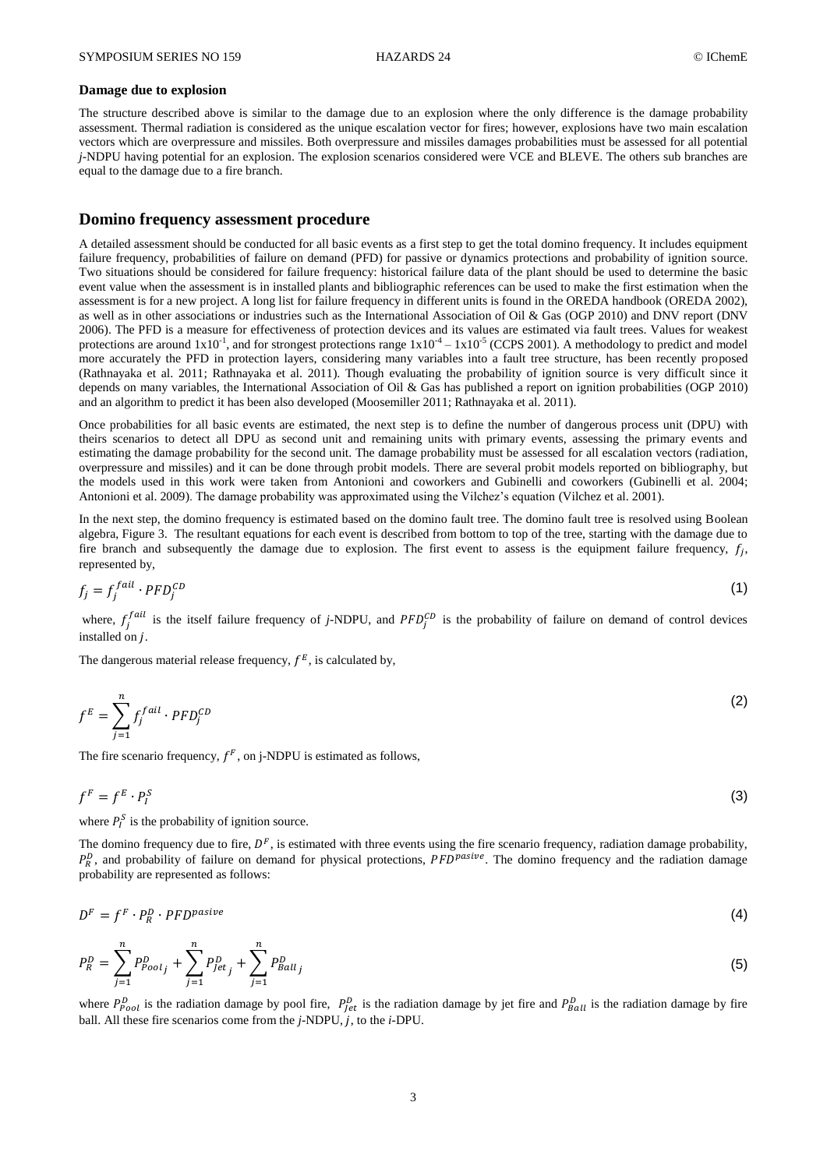#### **Damage due to explosion**

The structure described above is similar to the damage due to an explosion where the only difference is the damage probability assessment. Thermal radiation is considered as the unique escalation vector for fires; however, explosions have two main escalation vectors which are overpressure and missiles. Both overpressure and missiles damages probabilities must be assessed for all potential *j*-NDPU having potential for an explosion. The explosion scenarios considered were VCE and BLEVE. The others sub branches are equal to the damage due to a fire branch.

### **Domino frequency assessment procedure**

A detailed assessment should be conducted for all basic events as a first step to get the total domino frequency. It includes equipment failure frequency, probabilities of failure on demand (PFD) for passive or dynamics protections and probability of ignition source. Two situations should be considered for failure frequency: historical failure data of the plant should be used to determine the basic event value when the assessment is in installed plants and bibliographic references can be used to make the first estimation when the assessment is for a new project. A long list for failure frequency in different units is found in the OREDA handbook [\(OREDA 2002\)](#page-8-13), as well as in other associations or industries such as the International Association of Oil & Gas [\(OGP 2010\)](#page-8-14) and DNV report [\(DNV](#page-8-15)  [2006\)](#page-8-15). The PFD is a measure for effectiveness of protection devices and its values are estimated via fault trees. Values for weakest protections are around  $1x10^{-1}$ , and for strongest protections range  $1x10^{-4} - 1x10^{-5}$  [\(CCPS 2001\)](#page-7-11). A methodology to predict and model more accurately the PFD in protection layers, considering many variables into a fault tree structure, has been recently proposed [\(Rathnayaka et al. 2011;](#page-8-16) [Rathnayaka et al. 2011\)](#page-8-17). Though evaluating the probability of ignition source is very difficult since it depends on many variables, the International Association of Oil & Gas has published a report on ignition probabilities [\(OGP 2010\)](#page-8-18) and an algorithm to predict it has been also developed [\(Moosemiller 2011;](#page-8-19) [Rathnayaka et al. 2011\)](#page-8-16).

Once probabilities for all basic events are estimated, the next step is to define the number of dangerous process unit (DPU) with theirs scenarios to detect all DPU as second unit and remaining units with primary events, assessing the primary events and estimating the damage probability for the second unit. The damage probability must be assessed for all escalation vectors (radiation, overpressure and missiles) and it can be done through probit models. There are several probit models reported on bibliography, but the models used in this work were taken from Antonioni and coworkers and Gubinelli and coworkers [\(Gubinelli et al. 2004;](#page-8-20) [Antonioni et al. 2009\)](#page-7-7). The damage probability was approximated using the Vilchez's equation [\(Vilchez et al. 2001\)](#page-8-21).

In the next step, the domino frequency is estimated based on the domino fault tree. The domino fault tree is resolved using Boolean algebra, Figure 3. The resultant equations for each event is described from bottom to top of the tree, starting with the damage due to fire branch and subsequently the damage due to explosion. The first event to assess is the equipment failure frequency,  $f_i$ , represented by,

$$
f_j = f_j^{fail} \cdot PFD_j^{CD} \tag{1}
$$

where,  $f_i^{fail}$  is the itself failure frequency of *j*-NDPU, and  $PFD_i^{CD}$  is the probability of failure on demand of control devices installed on  $i$ .

The dangerous material release frequency,  $f^E$ , is calculated by,

$$
f^E = \sum_{j=1}^n f_j^{fail} \cdot PFD_j^{CD}
$$
 (2)

The fire scenario frequency,  $f^F$ , on j-NDPU is estimated as follows,

$$
f^F = f^E \cdot P_I^S \tag{3}
$$

where  $P_l^S$  is the probability of ignition source.

The domino frequency due to fire,  $D<sup>F</sup>$ , is estimated with three events using the fire scenario frequency, radiation damage probability,  $P_R^D$ , and probability of failure on demand for physical protections,  $PFD^{pasive}$ . The domino frequency and the radiation damage probability are represented as follows:

$$
D^F = f^F \cdot P^D_R \cdot PFD^{positive} \tag{4}
$$

$$
P_R^D = \sum_{j=1}^n P_{Poolj}^D + \sum_{j=1}^n P_{Jetj}^D + \sum_{j=1}^n P_{Ballj}^D \tag{5}
$$

where  $P_{Pool}^D$  is the radiation damage by pool fire,  $P_{let}^D$  is the radiation damage by jet fire and  $P_{Roll}^D$  is the radiation damage by fire ball. All these fire scenarios come from the *j*-NDPU, *j*, to the *i*-DPU.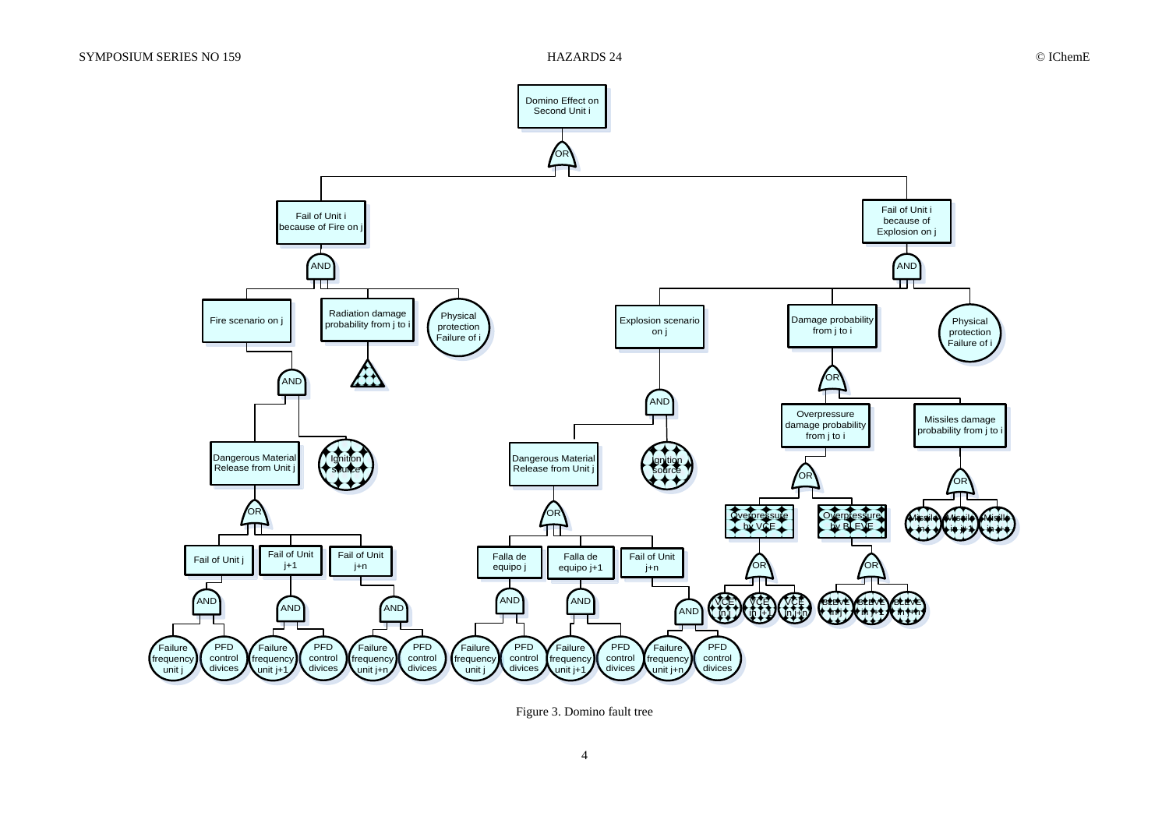

Figure 3. Domino fault tree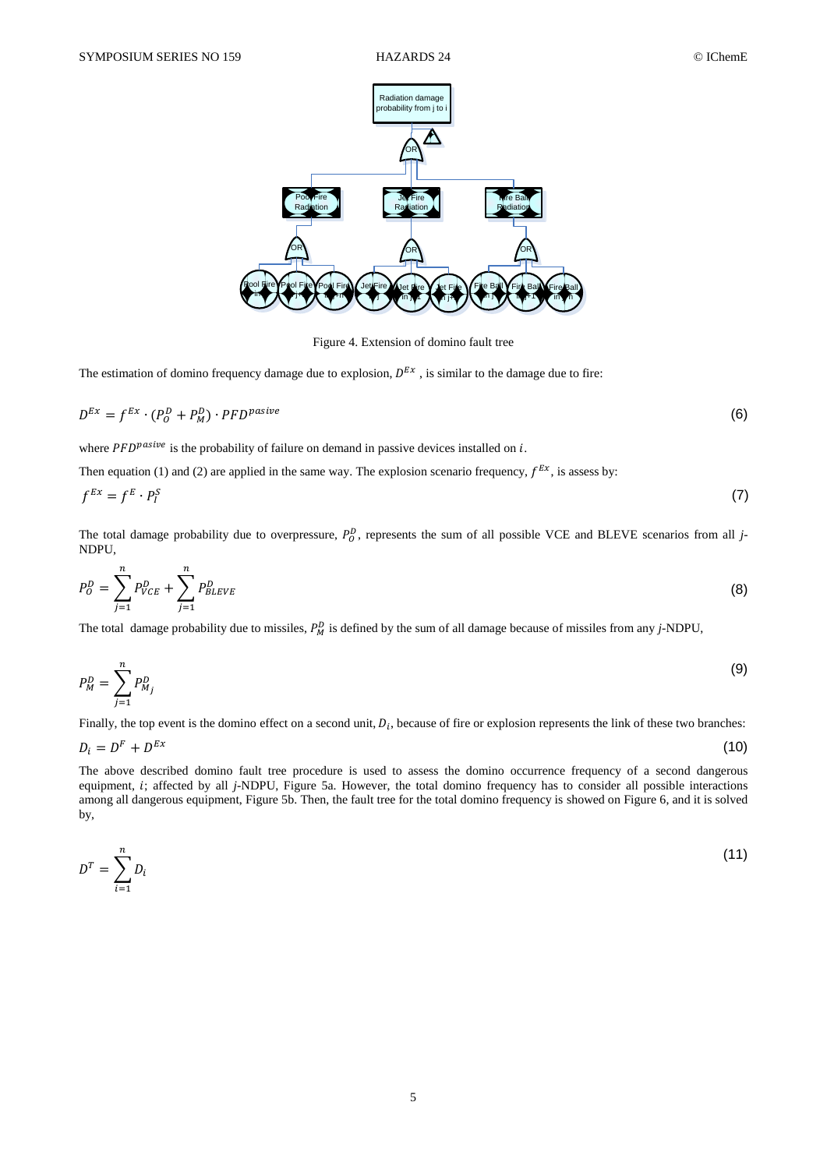

Figure 4. Extension of domino fault tree

The estimation of domino frequency damage due to explosion,  $D^{Ex}$ , is similar to the damage due to fire:

$$
D^{Ex} = f^{Ex} \cdot (P_0^D + P_M^D) \cdot PFD^{positive}
$$
 (6)

where  $PFD^{$ **nastre** $is the probability of failure on demand in passive devices installed on  $i$ .$ 

Then equation (1) and (2) are applied in the same way. The explosion scenario frequency,  $f^{Ex}$ , is assess by:

$$
f^{Ex} = f^E \cdot P_I^S \tag{7}
$$

The total damage probability due to overpressure,  $P_0^D$ , represents the sum of all possible VCE and BLEVE scenarios from all *j*-NDPU,

$$
P_O^D = \sum_{j=1}^n P_{VCE}^D + \sum_{j=1}^n P_{BLEVE}^D \tag{8}
$$

The total damage probability due to missiles,  $P_M^D$  is defined by the sum of all damage because of missiles from any *j*-NDPU,

$$
P_M^D = \sum_{j=1}^n P_{M_j}^D \tag{9}
$$

Finally, the top event is the domino effect on a second unit,  $D_i$ , because of fire or explosion represents the link of these two branches:

$$
D_i = D^F + D^{Ex} \tag{10}
$$

The above described domino fault tree procedure is used to assess the domino occurrence frequency of a second dangerous equipment, *i*; affected by all *j*-NDPU, Figure 5a. However, the total domino frequency has to consider all possible interactions among all dangerous equipment, Figure 5b. Then, the fault tree for the total domino frequency is showed on Figure 6, and it is solved by,

$$
D^T = \sum_{i=1}^n D_i \tag{11}
$$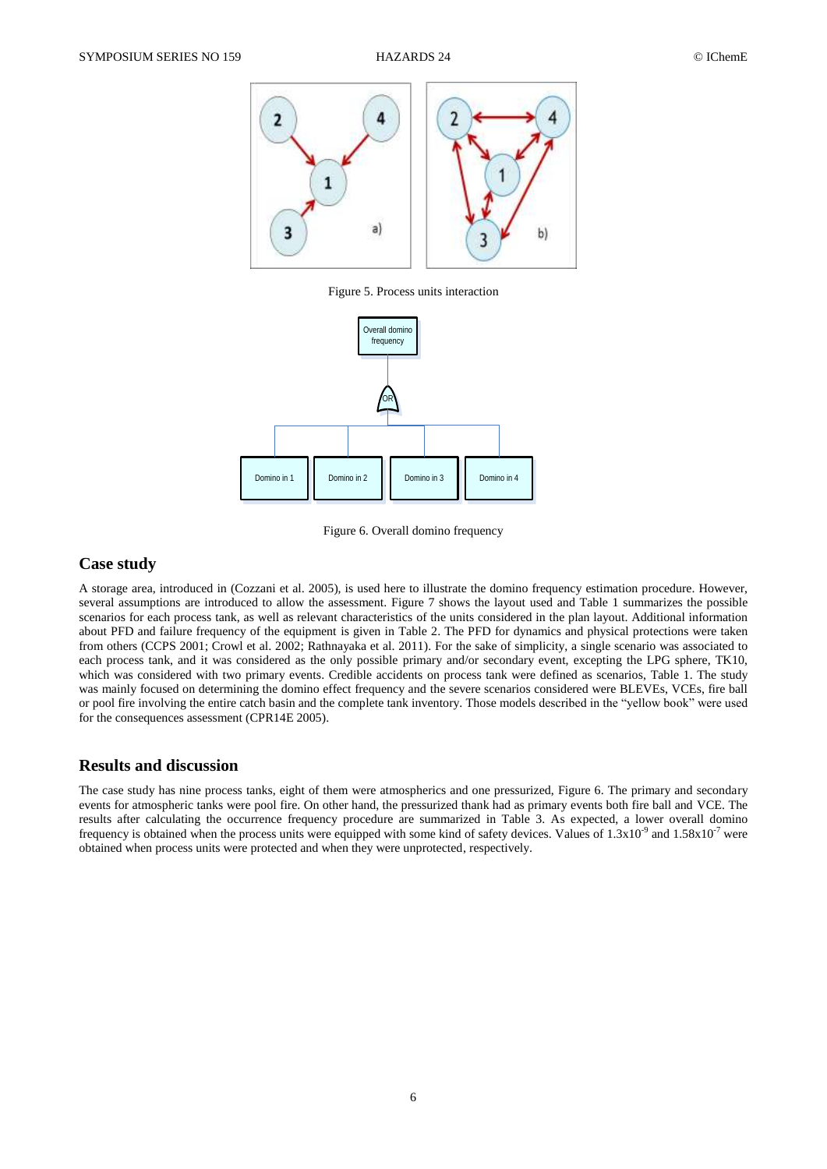

Figure 5. Process units interaction



Figure 6. Overall domino frequency

# **Case study**

A storage area, introduced in [\(Cozzani et al. 2005\)](#page-7-6), is used here to illustrate the domino frequency estimation procedure. However, several assumptions are introduced to allow the assessment. Figure 7 shows the layout used and Table 1 summarizes the possible scenarios for each process tank, as well as relevant characteristics of the units considered in the plan layout. Additional information about PFD and failure frequency of the equipment is given in Table 2. The PFD for dynamics and physical protections were taken from others [\(CCPS 2001;](#page-7-11) [Crowl et al. 2002;](#page-8-22) [Rathnayaka et al. 2011\)](#page-8-16). For the sake of simplicity, a single scenario was associated to each process tank, and it was considered as the only possible primary and/or secondary event, excepting the LPG sphere, TK10, which was considered with two primary events. Credible accidents on process tank were defined as scenarios, Table 1. The study was mainly focused on determining the domino effect frequency and the severe scenarios considered were BLEVEs, VCEs, fire ball or pool fire involving the entire catch basin and the complete tank inventory. Those models described in the "yellow book" were used for the consequences assessment [\(CPR14E 2005\)](#page-8-2).

## **Results and discussion**

The case study has nine process tanks, eight of them were atmospherics and one pressurized, Figure 6. The primary and secondary events for atmospheric tanks were pool fire. On other hand, the pressurized thank had as primary events both fire ball and VCE. The results after calculating the occurrence frequency procedure are summarized in Table 3. As expected, a lower overall domino frequency is obtained when the process units were equipped with some kind of safety devices. Values of  $1.3x10^{-9}$  and  $1.58x10^{-7}$  were obtained when process units were protected and when they were unprotected, respectively.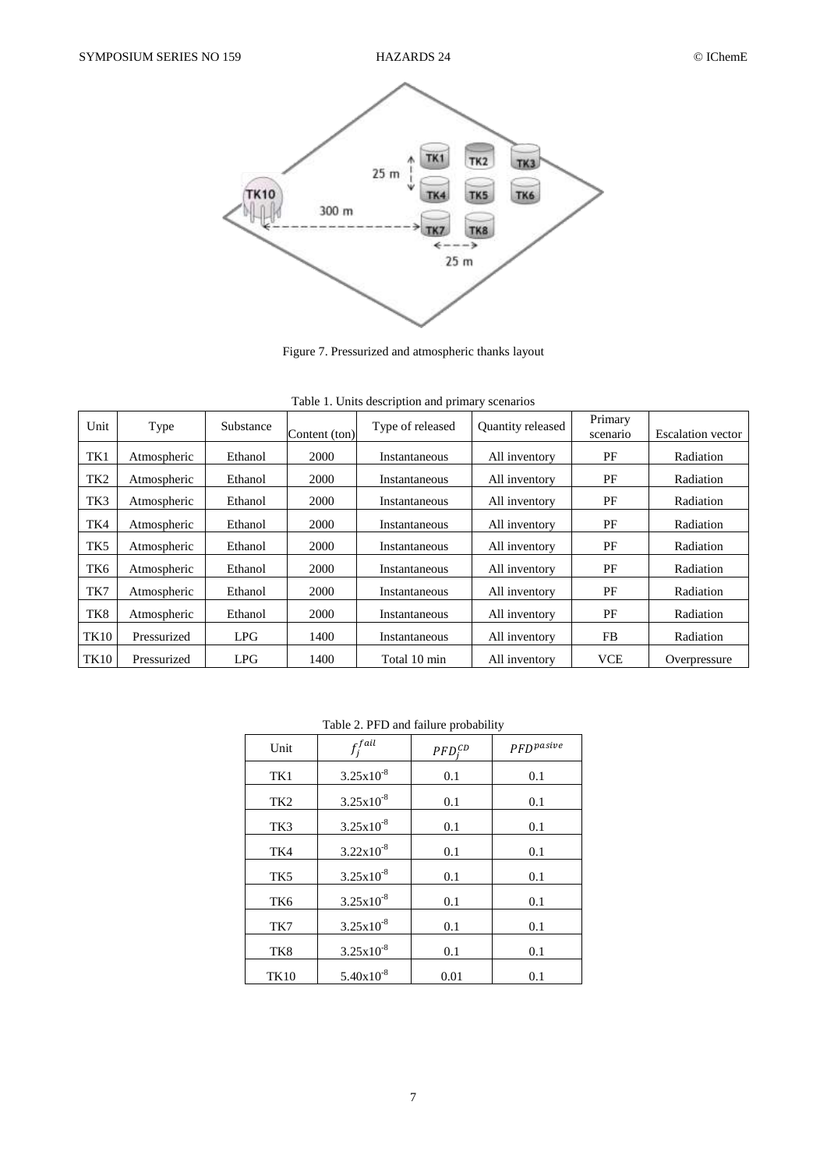

Figure 7. Pressurized and atmospheric thanks layout

|  |  | Table 1. Units description and primary scenarios |
|--|--|--------------------------------------------------|
|  |  |                                                  |
|  |  |                                                  |

| raore 1. Office accemption and primary securities |             |           |               |                  |                          |                     |                          |  |
|---------------------------------------------------|-------------|-----------|---------------|------------------|--------------------------|---------------------|--------------------------|--|
| Unit                                              | Type        | Substance | Content (ton) | Type of released | <b>Ouantity released</b> | Primary<br>scenario | <b>Escalation</b> vector |  |
| TK1                                               | Atmospheric | Ethanol   | 2000          | Instantaneous    | All inventory            | PF                  | Radiation                |  |
| TK <sub>2</sub>                                   | Atmospheric | Ethanol   | 2000          | Instantaneous    | All inventory            | PF                  | Radiation                |  |
| TK3                                               | Atmospheric | Ethanol   | 2000          | Instantaneous    | All inventory            | PF                  | Radiation                |  |
| TK4                                               | Atmospheric | Ethanol   | 2000          | Instantaneous    | All inventory            | PF                  | Radiation                |  |
| TK <sub>5</sub>                                   | Atmospheric | Ethanol   | 2000          | Instantaneous    | All inventory            | PF                  | Radiation                |  |
| TK6                                               | Atmospheric | Ethanol   | 2000          | Instantaneous    | All inventory            | PF                  | Radiation                |  |
| TK7                                               | Atmospheric | Ethanol   | 2000          | Instantaneous    | All inventory            | PF                  | Radiation                |  |
| TK8                                               | Atmospheric | Ethanol   | 2000          | Instantaneous    | All inventory            | PF                  | Radiation                |  |
| <b>TK10</b>                                       | Pressurized | LPG       | 1400          | Instantaneous    | All inventory            | FB                  | Radiation                |  |
| TK10                                              | Pressurized | LPG       | 1400          | Total 10 min     | All inventory            | <b>VCE</b>          | Overpressure             |  |

# Table 2. PFD and failure probability

| Unit            | $f^{fail}_j$          | $PFD_i^{CD}$ | $PFD^{positive}$ |
|-----------------|-----------------------|--------------|------------------|
| TK1             | $3.25 \times 10^{-8}$ | 0.1          | 0.1              |
| TK <sub>2</sub> | $3.25x10^{-8}$        | 0.1          | 0.1              |
| TK3             | $3.25x10^{-8}$        | 0.1          | 0.1              |
| TK4             | $3.22 \times 10^{-8}$ | 0.1          | 0.1              |
| TK <sub>5</sub> | $3.25x10^{-8}$        | 0.1          | 0.1              |
| TK6             | $3.25x10^{-8}$        | 0.1          | 0.1              |
| TK7             | $3.25x10^{-8}$        | 0.1          | 0.1              |
| TK8             | $3.25x10^{-8}$        | 0.1          | 0.1              |
| <b>TK10</b>     | $5.40x10^{-8}$        | 0.01         | 0.1              |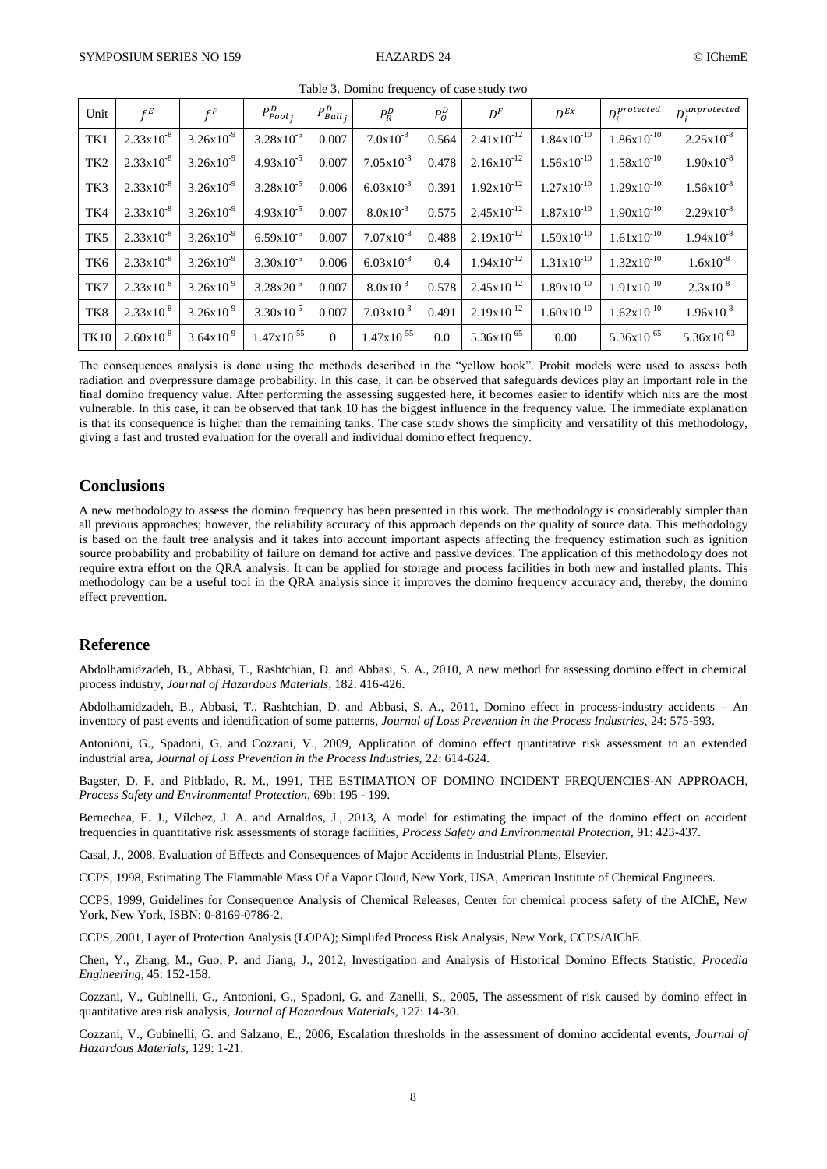| Unit            | $f^E$                 | $f^F$                 | $P_{Pool_i}^D$        | $P_{Ball_i}^D$ | $P_R^D$                | $P^D_0$ | $D^F$                  | $D^{Ex}$               | $D_i^{protected}$      | $D_i^{unprotected}$ |
|-----------------|-----------------------|-----------------------|-----------------------|----------------|------------------------|---------|------------------------|------------------------|------------------------|---------------------|
| TK1             | $2.33x10^{-8}$        | $3.26x10^{-9}$        | $3.28 \times 10^{-5}$ | 0.007          | $7.0x10^{-3}$          | 0.564   | $2.41x10^{-12}$        | $1.84 \times 10^{-10}$ | $1.86x10^{-10}$        | $2.25x10^{-8}$      |
| TK <sub>2</sub> | $2.33 \times 10^{-8}$ | $3.26x10^{-9}$        | $4.93x10^{-5}$        | 0.007          | $7.05x10^{-3}$         | 0.478   | $2.16x10^{-12}$        | $1.56x10^{-10}$        | $1.58 \times 10^{-10}$ | $1.90x10^{-8}$      |
| TK3             | $2.33 \times 10^{-8}$ | $3.26x10^{-9}$        | $3.28 \times 10^{-5}$ | 0.006          | $6.03x10^{-3}$         | 0.391   | $1.92 \times 10^{-12}$ | $1.27 \times 10^{-10}$ | $1.29x10^{-10}$        | $1.56x10^{-8}$      |
| TK4             | $2.33x10^{-8}$        | $3.26x10^{-9}$        | $4.93x10^{-5}$        | 0.007          | $8.0x10^{-3}$          | 0.575   | $2.45x10^{-12}$        | $1.87 \times 10^{-10}$ | $1.90x10^{-10}$        | $2.29x10^{-8}$      |
| TK <sub>5</sub> | $2.33 \times 10^{-8}$ | $3.26x10^{-9}$        | $6.59x10^{-5}$        | 0.007          | $7.07 \times 10^{-3}$  | 0.488   | $2.19x10^{-12}$        | $1.59x10^{-10}$        | $1.61 \times 10^{-10}$ | $1.94x10^{-8}$      |
| TK6             | $2.33 \times 10^{-8}$ | $3.26x10^{-9}$        | $3.30x10^{-5}$        | 0.006          | $6.03x10^{-3}$         | 0.4     | $1.94 \times 10^{-12}$ | $1.31 \times 10^{-10}$ | $1.32 \times 10^{-10}$ | $1.6x10^{-8}$       |
| TK7             | $2.33 \times 10^{-8}$ | $3.26x10^{-9}$        | $3.28x20^{-5}$        | 0.007          | $8.0x10^{-3}$          | 0.578   | $2.45 \times 10^{-12}$ | $1.89x10^{-10}$        | $1.91x10^{-10}$        | $2.3x10^{-8}$       |
| TK8             | $2.33 \times 10^{-8}$ | $3.26x10^{-9}$        | $3.30x10^{-5}$        | 0.007          | $7.03x10^{-3}$         | 0.491   | $2.19x10^{-12}$        | $1.60x10^{-10}$        | $1.62 \times 10^{-10}$ | $1.96x10^{-8}$      |
| <b>TK10</b>     | $2.60x10^{-8}$        | $3.64 \times 10^{-9}$ | $1.47x10^{-55}$       | $\theta$       | $1.47 \times 10^{-55}$ | 0.0     | $5.36x10^{-65}$        | 0.00                   | $5.36x10^{-65}$        | $5.36x10^{-63}$     |

Table 3. Domino frequency of case study two

The consequences analysis is done using the methods described in the "yellow book". Probit models were used to assess both radiation and overpressure damage probability. In this case, it can be observed that safeguards devices play an important role in the final domino frequency value. After performing the assessing suggested here, it becomes easier to identify which nits are the most vulnerable. In this case, it can be observed that tank 10 has the biggest influence in the frequency value. The immediate explanation is that its consequence is higher than the remaining tanks. The case study shows the simplicity and versatility of this methodology, giving a fast and trusted evaluation for the overall and individual domino effect frequency.

# **Conclusions**

A new methodology to assess the domino frequency has been presented in this work. The methodology is considerably simpler than all previous approaches; however, the reliability accuracy of this approach depends on the quality of source data. This methodology is based on the fault tree analysis and it takes into account important aspects affecting the frequency estimation such as ignition source probability and probability of failure on demand for active and passive devices. The application of this methodology does not require extra effort on the QRA analysis. It can be applied for storage and process facilities in both new and installed plants. This methodology can be a useful tool in the QRA analysis since it improves the domino frequency accuracy and, thereby, the domino effect prevention.

## **Reference**

<span id="page-7-8"></span>Abdolhamidzadeh, B., Abbasi, T., Rashtchian, D. and Abbasi, S. A., 2010, A new method for assessing domino effect in chemical process industry, *Journal of Hazardous Materials,* 182: 416-426.

<span id="page-7-1"></span>Abdolhamidzadeh, B., Abbasi, T., Rashtchian, D. and Abbasi, S. A., 2011, Domino effect in process-industry accidents – An inventory of past events and identification of some patterns, *Journal of Loss Prevention in the Process Industries,* 24: 575-593.

<span id="page-7-7"></span>Antonioni, G., Spadoni, G. and Cozzani, V., 2009, Application of domino effect quantitative risk assessment to an extended industrial area, *Journal of Loss Prevention in the Process Industries,* 22: 614-624.

<span id="page-7-5"></span>Bagster, D. F. and Pitblado, R. M., 1991, THE ESTIMATION OF DOMINO INCIDENT FREQUENCIES-AN APPROACH, *Process Safety and Environmental Protection,* 69b: 195 - 199.

<span id="page-7-9"></span>Bernechea, E. J., Vílchez, J. A. and Arnaldos, J., 2013, A model for estimating the impact of the domino effect on accident frequencies in quantitative risk assessments of storage facilities, *Process Safety and Environmental Protection,* 91: 423-437.

<span id="page-7-4"></span>Casal, J., 2008, Evaluation of Effects and Consequences of Major Accidents in Industrial Plants, Elsevier.

<span id="page-7-2"></span>CCPS, 1998, Estimating The Flammable Mass Of a Vapor Cloud, New York, USA, American Institute of Chemical Engineers.

<span id="page-7-3"></span>CCPS, 1999, Guidelines for Consequence Analysis of Chemical Releases, Center for chemical process safety of the AIChE, New York, New York, ISBN: 0-8169-0786-2.

<span id="page-7-11"></span>CCPS, 2001, Layer of Protection Analysis (LOPA); Simplifed Process Risk Analysis, New York, CCPS/AIChE.

<span id="page-7-10"></span>Chen, Y., Zhang, M., Guo, P. and Jiang, J., 2012, Investigation and Analysis of Historical Domino Effects Statistic, *Procedia Engineering,* 45: 152-158.

<span id="page-7-6"></span>Cozzani, V., Gubinelli, G., Antonioni, G., Spadoni, G. and Zanelli, S., 2005, The assessment of risk caused by domino effect in quantitative area risk analysis, *Journal of Hazardous Materials,* 127: 14-30.

<span id="page-7-0"></span>Cozzani, V., Gubinelli, G. and Salzano, E., 2006, Escalation thresholds in the assessment of domino accidental events, *Journal of Hazardous Materials,* 129: 1-21.